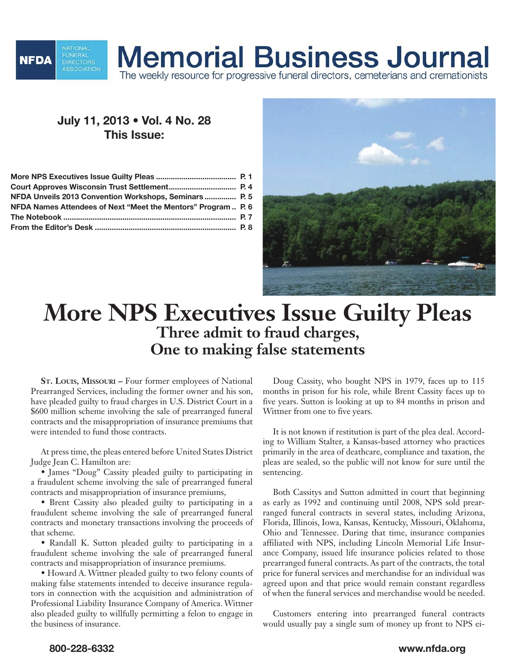

## **Memorial Business Journal**

The weekly resource for progressive funeral directors, cemeterians and cremationists

## **July 11, 2013 • Vol. 4 No. 28 This Issue:**

| NFDA Unveils 2013 Convention Workshops, Seminars  P. 5        |  |
|---------------------------------------------------------------|--|
| NFDA Names Attendees of Next "Meet the Mentors" Program  P. 6 |  |
|                                                               |  |
|                                                               |  |



## **More NPS Executives Issue Guilty Pleas Three admit to fraud charges, One to making false statements**

**St. Louis, Missouri –** Four former employees of National Prearranged Services, including the former owner and his son, have pleaded guilty to fraud charges in U.S. District Court in a \$600 million scheme involving the sale of prearranged funeral contracts and the misappropriation of insurance premiums that were intended to fund those contracts.

At press time, the pleas entered before United States District Judge Jean C. Hamilton are:

• James "Doug" Cassity pleaded guilty to participating in a fraudulent scheme involving the sale of prearranged funeral contracts and misappropriation of insurance premiums,

• Brent Cassity also pleaded guilty to participating in a fraudulent scheme involving the sale of prearranged funeral contracts and monetary transactions involving the proceeds of that scheme.

• Randall K. Sutton pleaded guilty to participating in a fraudulent scheme involving the sale of prearranged funeral contracts and misappropriation of insurance premiums.

• Howard A. Wittner pleaded guilty to two felony counts of making false statements intended to deceive insurance regulators in connection with the acquisition and administration of Professional Liability Insurance Company of America. Wittner also pleaded guilty to willfully permitting a felon to engage in the business of insurance.

Doug Cassity, who bought NPS in 1979, faces up to 115 months in prison for his role, while Brent Cassity faces up to five years. Sutton is looking at up to 84 months in prison and Wittner from one to five years.

It is not known if restitution is part of the plea deal. According to William Stalter, a Kansas-based attorney who practices primarily in the area of deathcare, compliance and taxation, the pleas are sealed, so the public will not know for sure until the sentencing.

Both Cassitys and Sutton admitted in court that beginning as early as 1992 and continuing until 2008, NPS sold prearranged funeral contracts in several states, including Arizona, Florida, Illinois, Iowa, Kansas, Kentucky, Missouri, Oklahoma, Ohio and Tennessee. During that time, insurance companies affiliated with NPS, including Lincoln Memorial Life Insurance Company, issued life insurance policies related to those prearranged funeral contracts. As part of the contracts, the total price for funeral services and merchandise for an individual was agreed upon and that price would remain constant regardless of when the funeral services and merchandise would be needed.

Customers entering into prearranged funeral contracts would usually pay a single sum of money up front to NPS ei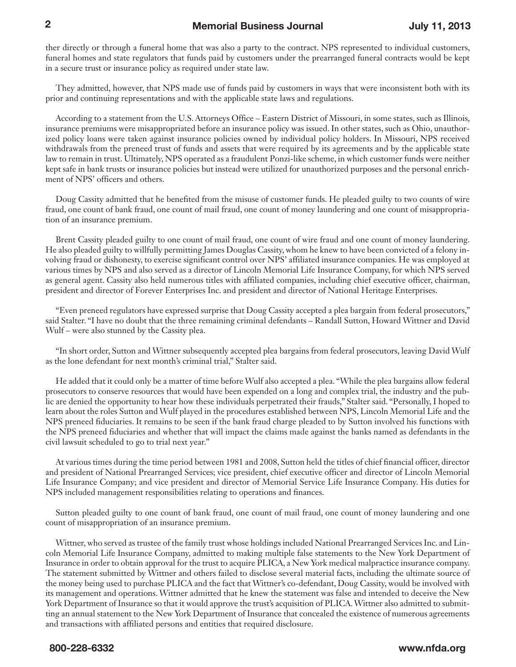ther directly or through a funeral home that was also a party to the contract. NPS represented to individual customers, funeral homes and state regulators that funds paid by customers under the prearranged funeral contracts would be kept in a secure trust or insurance policy as required under state law.

They admitted, however, that NPS made use of funds paid by customers in ways that were inconsistent both with its prior and continuing representations and with the applicable state laws and regulations.

According to a statement from the U.S. Attorneys Office – Eastern District of Missouri, in some states, such as Illinois, insurance premiums were misappropriated before an insurance policy was issued. In other states, such as Ohio, unauthorized policy loans were taken against insurance policies owned by individual policy holders. In Missouri, NPS received withdrawals from the preneed trust of funds and assets that were required by its agreements and by the applicable state law to remain in trust. Ultimately, NPS operated as a fraudulent Ponzi-like scheme, in which customer funds were neither kept safe in bank trusts or insurance policies but instead were utilized for unauthorized purposes and the personal enrichment of NPS' officers and others.

Doug Cassity admitted that he benefited from the misuse of customer funds. He pleaded guilty to two counts of wire fraud, one count of bank fraud, one count of mail fraud, one count of money laundering and one count of misappropriation of an insurance premium.

Brent Cassity pleaded guilty to one count of mail fraud, one count of wire fraud and one count of money laundering. He also pleaded guilty to willfully permitting James Douglas Cassity, whom he knew to have been convicted of a felony involving fraud or dishonesty, to exercise significant control over NPS' affiliated insurance companies. He was employed at various times by NPS and also served as a director of Lincoln Memorial Life Insurance Company, for which NPS served as general agent. Cassity also held numerous titles with affiliated companies, including chief executive officer, chairman, president and director of Forever Enterprises Inc. and president and director of National Heritage Enterprises.

"Even preneed regulators have expressed surprise that Doug Cassity accepted a plea bargain from federal prosecutors," said Stalter. "I have no doubt that the three remaining criminal defendants – Randall Sutton, Howard Wittner and David Wulf – were also stunned by the Cassity plea.

"In short order, Sutton and Wittner subsequently accepted plea bargains from federal prosecutors, leaving David Wulf as the lone defendant for next month's criminal trial," Stalter said.

He added that it could only be a matter of time before Wulf also accepted a plea. "While the plea bargains allow federal prosecutors to conserve resources that would have been expended on a long and complex trial, the industry and the public are denied the opportunity to hear how these individuals perpetrated their frauds," Stalter said. "Personally, I hoped to learn about the roles Sutton and Wulf played in the procedures established between NPS, Lincoln Memorial Life and the NPS preneed fiduciaries. It remains to be seen if the bank fraud charge pleaded to by Sutton involved his functions with the NPS preneed fiduciaries and whether that will impact the claims made against the banks named as defendants in the civil lawsuit scheduled to go to trial next year."

At various times during the time period between 1981 and 2008, Sutton held the titles of chief financial officer, director and president of National Prearranged Services; vice president, chief executive officer and director of Lincoln Memorial Life Insurance Company; and vice president and director of Memorial Service Life Insurance Company. His duties for NPS included management responsibilities relating to operations and finances.

Sutton pleaded guilty to one count of bank fraud, one count of mail fraud, one count of money laundering and one count of misappropriation of an insurance premium.

Wittner, who served as trustee of the family trust whose holdings included National Prearranged Services Inc. and Lincoln Memorial Life Insurance Company, admitted to making multiple false statements to the New York Department of Insurance in order to obtain approval for the trust to acquire PLICA, a New York medical malpractice insurance company. The statement submitted by Wittner and others failed to disclose several material facts, including the ultimate source of the money being used to purchase PLICA and the fact that Wittner's co-defendant, Doug Cassity, would be involved with its management and operations. Wittner admitted that he knew the statement was false and intended to deceive the New York Department of Insurance so that it would approve the trust's acquisition of PLICA. Wittner also admitted to submitting an annual statement to the New York Department of Insurance that concealed the existence of numerous agreements and transactions with affiliated persons and entities that required disclosure.